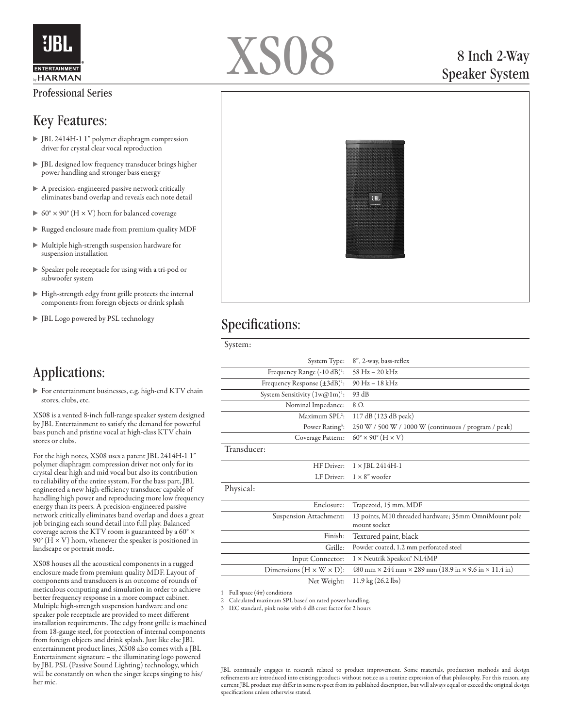

#### Professional Series

#### Key Features:

- JBL 2414H-1 1" polymer diaphragm compression driver for crystal clear vocal reproduction
- JBL designed low frequency transducer brings higher power handling and stronger bass energy
- A precision-engineered passive network critically eliminates band overlap and reveals each note detail
- $60^\circ \times 90^\circ$  (H  $\times$  V) horn for balanced coverage
- Rugged enclosure made from premium quality MDF
- Multiple high-strength suspension hardware for suspension installation
- Speaker pole receptacle for using with a tri-pod or subwoofer system
- High-strength edgy front grille protects the internal components from foreign objects or drink splash
- JBL Logo powered by PSL technology

# Applications:

For entertainment businesses, e.g. high-end KTV chain stores, clubs, etc.

XS08 is a vented 8-inch full-range speaker system designed by JBL Entertainment to satisfy the demand for powerful bass punch and pristine vocal at high-class KTV chain stores or clubs.

For the high notes, XS08 uses a patent JBL 2414H-1 1" polymer diaphragm compression driver not only for its crystal clear high and mid vocal but also its contribution to reliability of the entire system. For the bass part, JBL engineered a new high-efficiency transducer capable of handling high power and reproducing more low frequency energy than its peers. A precision-engineered passive network critically eliminates band overlap and does a great job bringing each sound detail into full play. Balanced coverage across the KTV room is guaranteed by a 60° ×  $90^\circ$  (H  $\times$  V) horn, whenever the speaker is positioned in landscape or portrait mode.

XS08 houses all the acoustical components in a rugged enclosure made from premium quality MDF. Layout of components and transducers is an outcome of rounds of meticulous computing and simulation in order to achieve better frequency response in a more compact cabinet. Multiple high-strength suspension hardware and one speaker pole receptacle are provided to meet different installation requirements. The edgy front grille is machined from 18-gauge steel, for protection of internal components from foreign objects and drink splash. Just like else JBL entertainment product lines, XS08 also comes with a JBL Entertainment signature – the illuminating logo powered by JBL PSL (Passive Sound Lighting) technology, which will be constantly on when the singer keeps singing to his/ her mic.



## 8 Inch 2-Way Speaker System



## Specifications:

| System:                                 |                                                                                   |
|-----------------------------------------|-----------------------------------------------------------------------------------|
| System Type:                            | 8", 2-way, bass-reflex                                                            |
| Frequency Range (-10 dB) <sup>1</sup> : | $58\text{ Hz} - 20\text{ kHz}$                                                    |
| Frequency Response $(\pm 3dB)^1$ :      | 90 Hz - 18 kHz                                                                    |
| System Sensitivity $(1w@1m)^{1}$ :      | 93 dB                                                                             |
| Nominal Impedance:                      | $8\Omega$                                                                         |
| Maximum SPL <sup>2</sup> :              | 117 dB (123 dB peak)                                                              |
| Power Rating <sup>3</sup> :             | 250 W / 500 W / 1000 W (continuous / program / peak)                              |
| Coverage Pattern:                       | $60^\circ \times 90^\circ$ (H $\times$ V)                                         |
| Transducer:                             |                                                                                   |
| HF Driver:                              | $1 \times$ JBL 2414H-1                                                            |
| LF Driver:                              | $1 \times 8$ " woofer                                                             |
| Physical:                               |                                                                                   |
| Enclosure:                              | Trapezoid, 15 mm, MDF                                                             |
| Suspension Attachment:                  | 13 points, M10 threaded hardware; 35mm OmniMount pole<br>mount socket             |
| Finish:                                 | Textured paint, black                                                             |
| Grille:                                 | Powder coated, 1.2 mm perforated steel                                            |
| Input Connector:                        | 1 × Neutrik Speakon® NL4MP                                                        |
| Dimensions $(H \times W \times D)$ :    | 480 mm $\times$ 244 mm $\times$ 289 mm (18.9 in $\times$ 9.6 in $\times$ 11.4 in) |
| Net Weight:                             | $11.9 \text{ kg} (26.2 \text{ lbs})$                                              |

1 Full space  $(4\pi)$  conditions

2 Calculated maximum SPL based on rated power handling.

3 IEC standard, pink noise with 6 dB crest factor for 2 hours

JBL continually engages in research related to product improvement. Some materials, production methods and design refinements are introduced into existing products without notice as a routine expression of that philosophy. For this reason, any current JBL product may differ in some respect from its published description, but will always equal or exceed the original design specifications unless otherwise stated.